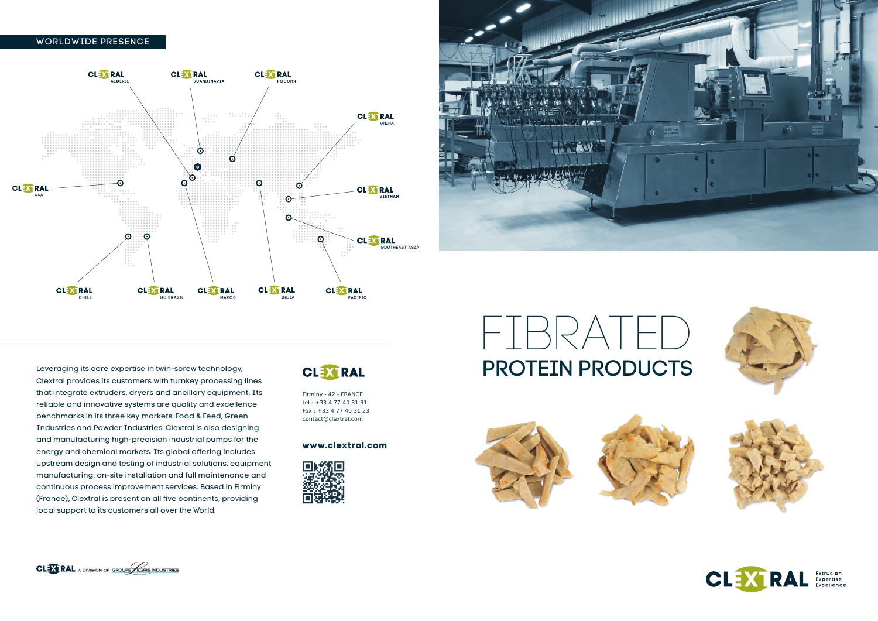# $\vdash \mathsf{I}\,\mathsf{H}$ PROTEIN PRODUCTS









Extrusion Extrusion<br>Expertise<br>Excellence

### Worldwide presence

Firminy - 42 - FRANCE tel : +33 4 77 40 31 31 Fax : +33 4 77 40 31 23 contact@clextral.com

#### **www.clextral.com**



Leveraging its core expertise in twin-screw technology, Clextral provides its customers with turnkey processing lines that integrate extruders, dryers and ancillary equipment. Its reliable and innovative systems are quality and excellence benchmarks in its three key markets: Food & Feed, Green Industries and Powder Industries. Clextral is also designing and manufacturing high-precision industrial pumps for the energy and chemical markets. Its global offering includes upstream design and testing of industrial solutions, equipment manufacturing, on-site installation and full maintenance and continuous process improvement services. Based in Firminy (France), Clextral is present on all five continents, providing local support to its customers all over the World.